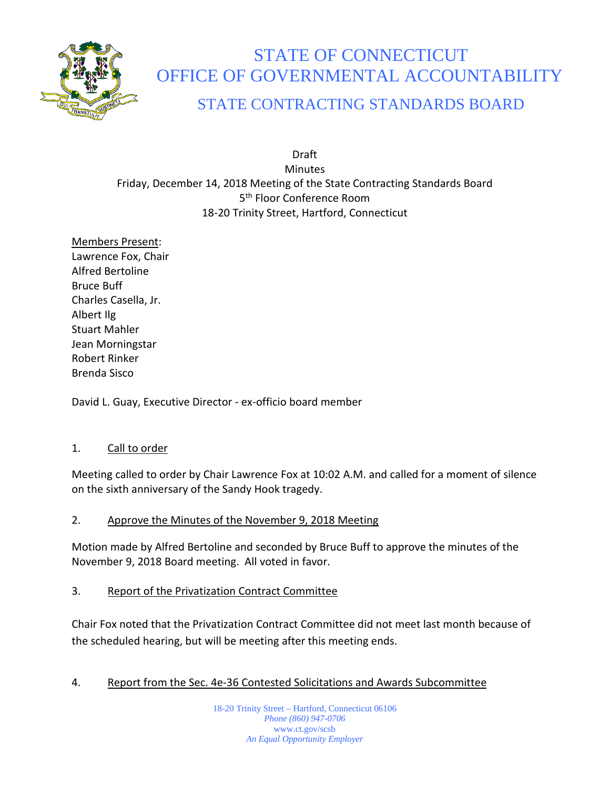

# STATE OF CONNECTICUT OFFICE OF GOVERNMENTAL ACCOUNTABILITY STATE CONTRACTING STANDARDS BOARD

Draft **Minutes** Friday, December 14, 2018 Meeting of the State Contracting Standards Board 5<sup>th</sup> Floor Conference Room 18-20 Trinity Street, Hartford, Connecticut

Members Present: Lawrence Fox, Chair Alfred Bertoline Bruce Buff Charles Casella, Jr. Albert Ilg Stuart Mahler Jean Morningstar Robert Rinker Brenda Sisco

David L. Guay, Executive Director - ex-officio board member

## 1. Call to order

Meeting called to order by Chair Lawrence Fox at 10:02 A.M. and called for a moment of silence on the sixth anniversary of the Sandy Hook tragedy.

2. Approve the Minutes of the November 9, 2018 Meeting

Motion made by Alfred Bertoline and seconded by Bruce Buff to approve the minutes of the November 9, 2018 Board meeting. All voted in favor.

3. Report of the Privatization Contract Committee

Chair Fox noted that the Privatization Contract Committee did not meet last month because of the scheduled hearing, but will be meeting after this meeting ends.

## 4. Report from the Sec. 4e-36 Contested Solicitations and Awards Subcommittee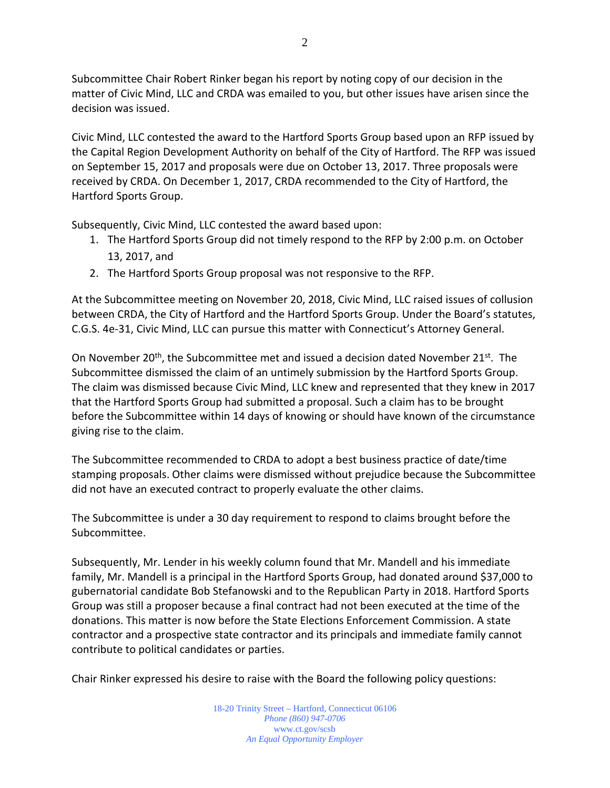Subcommittee Chair Robert Rinker began his report by noting copy of our decision in the matter of Civic Mind, LLC and CRDA was emailed to you, but other issues have arisen since the decision was issued.

Civic Mind, LLC contested the award to the Hartford Sports Group based upon an RFP issued by the Capital Region Development Authority on behalf of the City of Hartford. The RFP was issued on September 15, 2017 and proposals were due on October 13, 2017. Three proposals were received by CRDA. On December 1, 2017, CRDA recommended to the City of Hartford, the Hartford Sports Group.

Subsequently, Civic Mind, LLC contested the award based upon:

- 1. The Hartford Sports Group did not timely respond to the RFP by 2:00 p.m. on October 13, 2017, and
- 2. The Hartford Sports Group proposal was not responsive to the RFP.

At the Subcommittee meeting on November 20, 2018, Civic Mind, LLC raised issues of collusion between CRDA, the City of Hartford and the Hartford Sports Group. Under the Board's statutes, C.G.S. 4e-31, Civic Mind, LLC can pursue this matter with Connecticut's Attorney General.

On November 20<sup>th</sup>, the Subcommittee met and issued a decision dated November 21<sup>st</sup>. The Subcommittee dismissed the claim of an untimely submission by the Hartford Sports Group. The claim was dismissed because Civic Mind, LLC knew and represented that they knew in 2017 that the Hartford Sports Group had submitted a proposal. Such a claim has to be brought before the Subcommittee within 14 days of knowing or should have known of the circumstance giving rise to the claim.

The Subcommittee recommended to CRDA to adopt a best business practice of date/time stamping proposals. Other claims were dismissed without prejudice because the Subcommittee did not have an executed contract to properly evaluate the other claims.

The Subcommittee is under a 30 day requirement to respond to claims brought before the Subcommittee.

Subsequently, Mr. Lender in his weekly column found that Mr. Mandell and his immediate family, Mr. Mandell is a principal in the Hartford Sports Group, had donated around \$37,000 to gubernatorial candidate Bob Stefanowski and to the Republican Party in 2018. Hartford Sports Group was still a proposer because a final contract had not been executed at the time of the donations. This matter is now before the State Elections Enforcement Commission. A state contractor and a prospective state contractor and its principals and immediate family cannot contribute to political candidates or parties.

Chair Rinker expressed his desire to raise with the Board the following policy questions: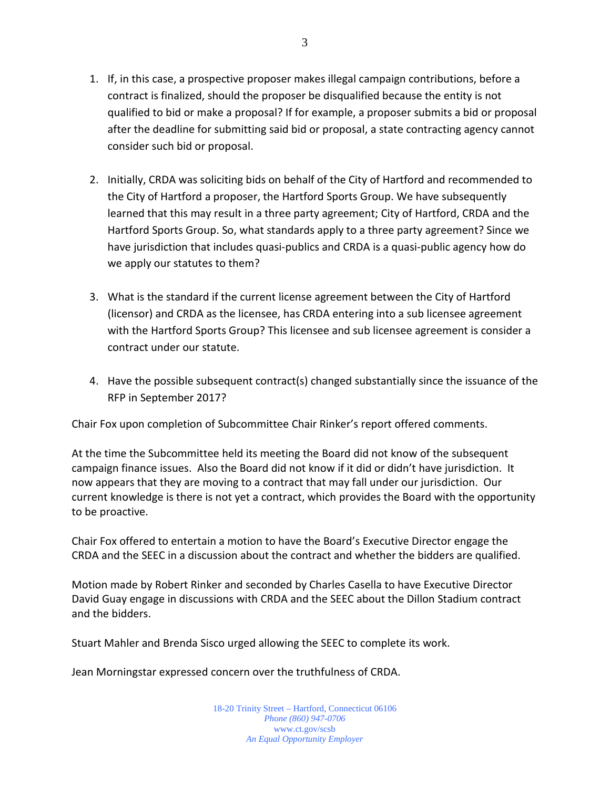- 1. If, in this case, a prospective proposer makes illegal campaign contributions, before a contract is finalized, should the proposer be disqualified because the entity is not qualified to bid or make a proposal? If for example, a proposer submits a bid or proposal after the deadline for submitting said bid or proposal, a state contracting agency cannot consider such bid or proposal.
- 2. Initially, CRDA was soliciting bids on behalf of the City of Hartford and recommended to the City of Hartford a proposer, the Hartford Sports Group. We have subsequently learned that this may result in a three party agreement; City of Hartford, CRDA and the Hartford Sports Group. So, what standards apply to a three party agreement? Since we have jurisdiction that includes quasi-publics and CRDA is a quasi-public agency how do we apply our statutes to them?
- 3. What is the standard if the current license agreement between the City of Hartford (licensor) and CRDA as the licensee, has CRDA entering into a sub licensee agreement with the Hartford Sports Group? This licensee and sub licensee agreement is consider a contract under our statute.
- 4. Have the possible subsequent contract(s) changed substantially since the issuance of the RFP in September 2017?

Chair Fox upon completion of Subcommittee Chair Rinker's report offered comments.

At the time the Subcommittee held its meeting the Board did not know of the subsequent campaign finance issues. Also the Board did not know if it did or didn't have jurisdiction. It now appears that they are moving to a contract that may fall under our jurisdiction. Our current knowledge is there is not yet a contract, which provides the Board with the opportunity to be proactive.

Chair Fox offered to entertain a motion to have the Board's Executive Director engage the CRDA and the SEEC in a discussion about the contract and whether the bidders are qualified.

Motion made by Robert Rinker and seconded by Charles Casella to have Executive Director David Guay engage in discussions with CRDA and the SEEC about the Dillon Stadium contract and the bidders.

Stuart Mahler and Brenda Sisco urged allowing the SEEC to complete its work.

Jean Morningstar expressed concern over the truthfulness of CRDA.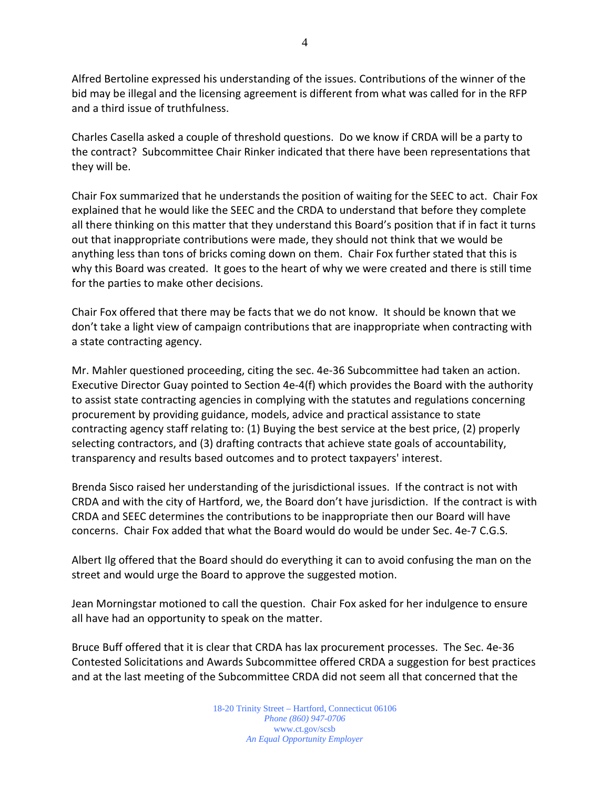Alfred Bertoline expressed his understanding of the issues. Contributions of the winner of the bid may be illegal and the licensing agreement is different from what was called for in the RFP and a third issue of truthfulness.

Charles Casella asked a couple of threshold questions. Do we know if CRDA will be a party to the contract? Subcommittee Chair Rinker indicated that there have been representations that they will be.

Chair Fox summarized that he understands the position of waiting for the SEEC to act. Chair Fox explained that he would like the SEEC and the CRDA to understand that before they complete all there thinking on this matter that they understand this Board's position that if in fact it turns out that inappropriate contributions were made, they should not think that we would be anything less than tons of bricks coming down on them. Chair Fox further stated that this is why this Board was created. It goes to the heart of why we were created and there is still time for the parties to make other decisions.

Chair Fox offered that there may be facts that we do not know. It should be known that we don't take a light view of campaign contributions that are inappropriate when contracting with a state contracting agency.

Mr. Mahler questioned proceeding, citing the sec. 4e-36 Subcommittee had taken an action. Executive Director Guay pointed to Section 4e-4(f) which provides the Board with the authority to assist state contracting agencies in complying with the statutes and regulations concerning procurement by providing guidance, models, advice and practical assistance to state contracting agency staff relating to: (1) Buying the best service at the best price, (2) properly selecting contractors, and (3) drafting contracts that achieve state goals of accountability, transparency and results based outcomes and to protect taxpayers' interest.

Brenda Sisco raised her understanding of the jurisdictional issues. If the contract is not with CRDA and with the city of Hartford, we, the Board don't have jurisdiction. If the contract is with CRDA and SEEC determines the contributions to be inappropriate then our Board will have concerns. Chair Fox added that what the Board would do would be under Sec. 4e-7 C.G.S.

Albert Ilg offered that the Board should do everything it can to avoid confusing the man on the street and would urge the Board to approve the suggested motion.

Jean Morningstar motioned to call the question. Chair Fox asked for her indulgence to ensure all have had an opportunity to speak on the matter.

Bruce Buff offered that it is clear that CRDA has lax procurement processes. The Sec. 4e-36 Contested Solicitations and Awards Subcommittee offered CRDA a suggestion for best practices and at the last meeting of the Subcommittee CRDA did not seem all that concerned that the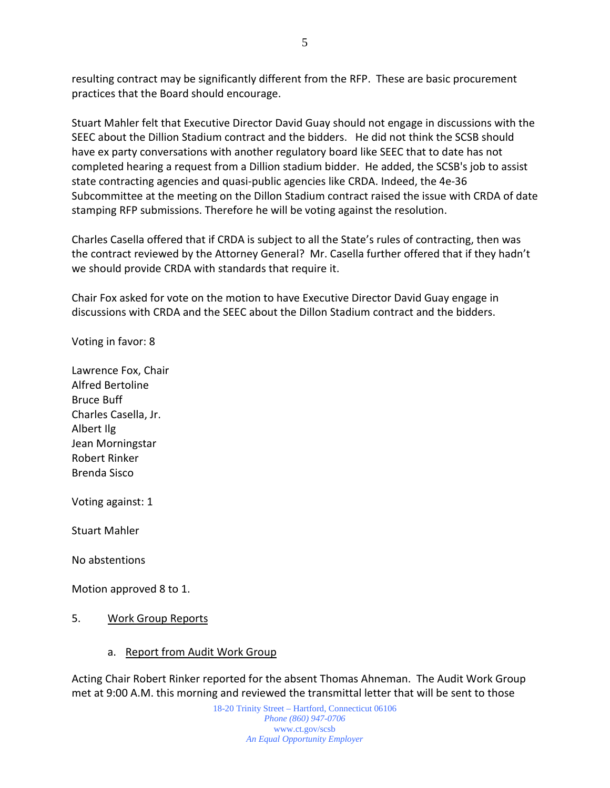resulting contract may be significantly different from the RFP. These are basic procurement practices that the Board should encourage.

Stuart Mahler felt that Executive Director David Guay should not engage in discussions with the SEEC about the Dillion Stadium contract and the bidders. He did not think the SCSB should have ex party conversations with another regulatory board like SEEC that to date has not completed hearing a request from a Dillion stadium bidder. He added, the SCSB's job to assist state contracting agencies and quasi-public agencies like CRDA. Indeed, the 4e-36 Subcommittee at the meeting on the Dillon Stadium contract raised the issue with CRDA of date stamping RFP submissions. Therefore he will be voting against the resolution.

Charles Casella offered that if CRDA is subject to all the State's rules of contracting, then was the contract reviewed by the Attorney General? Mr. Casella further offered that if they hadn't we should provide CRDA with standards that require it.

Chair Fox asked for vote on the motion to have Executive Director David Guay engage in discussions with CRDA and the SEEC about the Dillon Stadium contract and the bidders.

Voting in favor: 8

Lawrence Fox, Chair Alfred Bertoline Bruce Buff Charles Casella, Jr. Albert Ilg Jean Morningstar Robert Rinker Brenda Sisco

Voting against: 1

Stuart Mahler

No abstentions

Motion approved 8 to 1.

- 5. Work Group Reports
	- a. Report from Audit Work Group

Acting Chair Robert Rinker reported for the absent Thomas Ahneman. The Audit Work Group met at 9:00 A.M. this morning and reviewed the transmittal letter that will be sent to those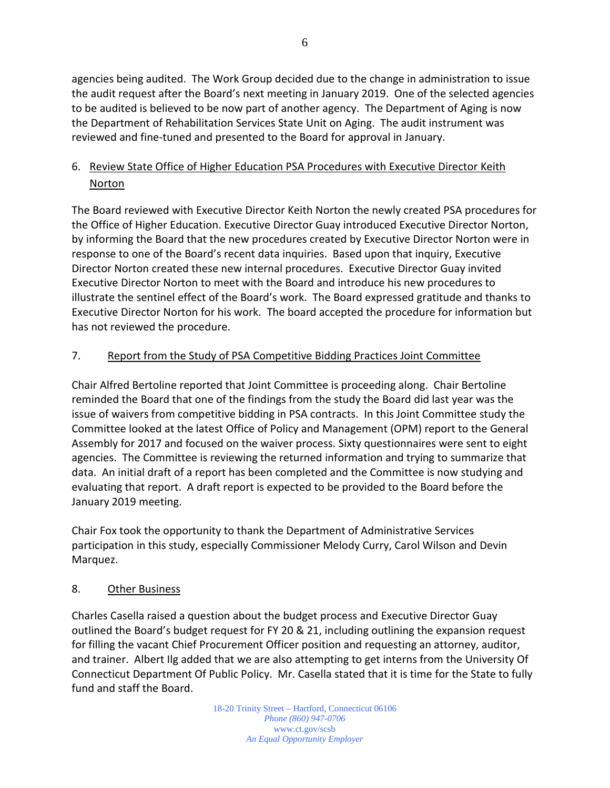agencies being audited. The Work Group decided due to the change in administration to issue the audit request after the Board's next meeting in January 2019. One of the selected agencies to be audited is believed to be now part of another agency. The Department of Aging is now the Department of Rehabilitation Services State Unit on Aging. The audit instrument was reviewed and fine-tuned and presented to the Board for approval in January.

## 6. Review State Office of Higher Education PSA Procedures with Executive Director Keith Norton

The Board reviewed with Executive Director Keith Norton the newly created PSA procedures for the Office of Higher Education. Executive Director Guay introduced Executive Director Norton, by informing the Board that the new procedures created by Executive Director Norton were in response to one of the Board's recent data inquiries. Based upon that inquiry, Executive Director Norton created these new internal procedures. Executive Director Guay invited Executive Director Norton to meet with the Board and introduce his new procedures to illustrate the sentinel effect of the Board's work. The Board expressed gratitude and thanks to Executive Director Norton for his work. The board accepted the procedure for information but has not reviewed the procedure.

## 7. Report from the Study of PSA Competitive Bidding Practices Joint Committee

Chair Alfred Bertoline reported that Joint Committee is proceeding along. Chair Bertoline reminded the Board that one of the findings from the study the Board did last year was the issue of waivers from competitive bidding in PSA contracts. In this Joint Committee study the Committee looked at the latest Office of Policy and Management (OPM) report to the General Assembly for 2017 and focused on the waiver process. Sixty questionnaires were sent to eight agencies. The Committee is reviewing the returned information and trying to summarize that data. An initial draft of a report has been completed and the Committee is now studying and evaluating that report. A draft report is expected to be provided to the Board before the January 2019 meeting.

Chair Fox took the opportunity to thank the Department of Administrative Services participation in this study, especially Commissioner Melody Curry, Carol Wilson and Devin Marquez.

#### 8. Other Business

Charles Casella raised a question about the budget process and Executive Director Guay outlined the Board's budget request for FY 20 & 21, including outlining the expansion request for filling the vacant Chief Procurement Officer position and requesting an attorney, auditor, and trainer. Albert Ilg added that we are also attempting to get interns from the University Of Connecticut Department Of Public Policy. Mr. Casella stated that it is time for the State to fully fund and staff the Board.